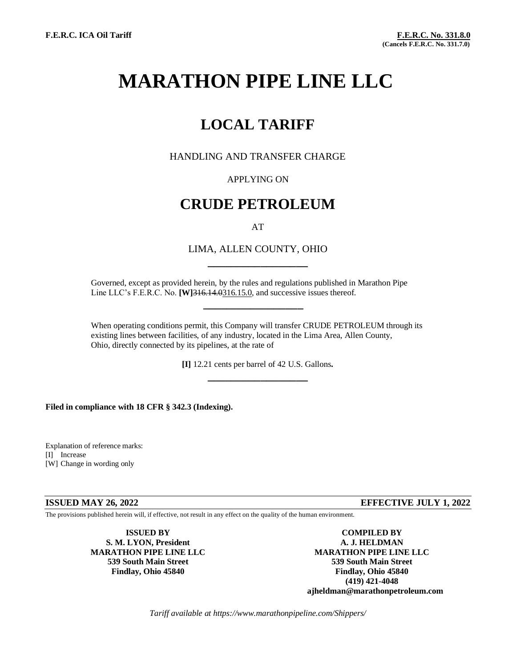# **MARATHON PIPE LINE LLC**

## **LOCAL TARIFF**

HANDLING AND TRANSFER CHARGE

### APPLYING ON

### **CRUDE PETROLEUM**

AT

LIMA, ALLEN COUNTY, OHIO **\_\_\_\_\_\_\_\_\_\_\_\_\_\_\_\_\_**

Governed, except as provided herein, by the rules and regulations published in Marathon Pipe Line LLC's F.E.R.C. No. **[W]**316.14.0316.15.0, and successive issues thereof.

When operating conditions permit, this Company will transfer CRUDE PETROLEUM through its existing lines between facilities, of any industry, located in the Lima Area, Allen County, Ohio, directly connected by its pipelines, at the rate of

> **[I]** 12.21 cents per barrel of 42 U.S. Gallons**. \_\_\_\_\_\_\_\_\_\_\_\_\_\_\_\_\_**

**Filed in compliance with 18 CFR § 342.3 (Indexing).**

Explanation of reference marks: [I] Increase [W] Change in wording only

#### **ISSUED MAY 26, 2022 EFFECTIVE JULY 1, 2022**

The provisions published herein will, if effective, not result in any effect on the quality of the human environment.

 **\_\_\_\_\_\_\_\_\_\_\_\_\_\_\_\_\_**

**S. M. LYON, President A. J. HELDMAN**

**ISSUED BY COMPILED BY MARATHON PIPE LINE LLC MARATHON PIPE LINE LLC 539 South Main Street 539 South Main Street Findlay, Ohio 45840 Findlay, Ohio 45840 (419) 421-4048 ajheldman@marathonpetroleum.com**

*Tariff available at https://www.marathonpipeline.com/Shippers/*